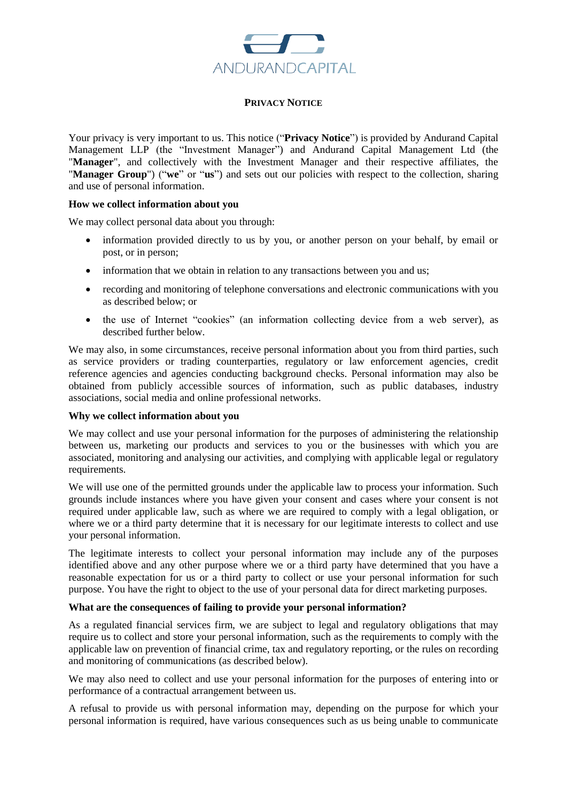

## **PRIVACY NOTICE**

Your privacy is very important to us. This notice ("**Privacy Notice**") is provided by Andurand Capital Management LLP (the "Investment Manager") and Andurand Capital Management Ltd (the "**Manager**", and collectively with the Investment Manager and their respective affiliates, the "**Manager Group**") ("**we**" or "**us**") and sets out our policies with respect to the collection, sharing and use of personal information.

## **How we collect information about you**

We may collect personal data about you through:

- information provided directly to us by you, or another person on your behalf, by email or post, or in person;
- information that we obtain in relation to any transactions between you and us;
- recording and monitoring of telephone conversations and electronic communications with you as described below; or
- the use of Internet "cookies" (an information collecting device from a web server), as described further below.

We may also, in some circumstances, receive personal information about you from third parties, such as service providers or trading counterparties, regulatory or law enforcement agencies, credit reference agencies and agencies conducting background checks. Personal information may also be obtained from publicly accessible sources of information, such as public databases, industry associations, social media and online professional networks.

## **Why we collect information about you**

We may collect and use your personal information for the purposes of administering the relationship between us, marketing our products and services to you or the businesses with which you are associated, monitoring and analysing our activities, and complying with applicable legal or regulatory requirements.

We will use one of the permitted grounds under the applicable law to process your information. Such grounds include instances where you have given your consent and cases where your consent is not required under applicable law, such as where we are required to comply with a legal obligation, or where we or a third party determine that it is necessary for our legitimate interests to collect and use your personal information.

The legitimate interests to collect your personal information may include any of the purposes identified above and any other purpose where we or a third party have determined that you have a reasonable expectation for us or a third party to collect or use your personal information for such purpose. You have the right to object to the use of your personal data for direct marketing purposes.

## **What are the consequences of failing to provide your personal information?**

As a regulated financial services firm, we are subject to legal and regulatory obligations that may require us to collect and store your personal information, such as the requirements to comply with the applicable law on prevention of financial crime, tax and regulatory reporting, or the rules on recording and monitoring of communications (as described below).

We may also need to collect and use your personal information for the purposes of entering into or performance of a contractual arrangement between us.

A refusal to provide us with personal information may, depending on the purpose for which your personal information is required, have various consequences such as us being unable to communicate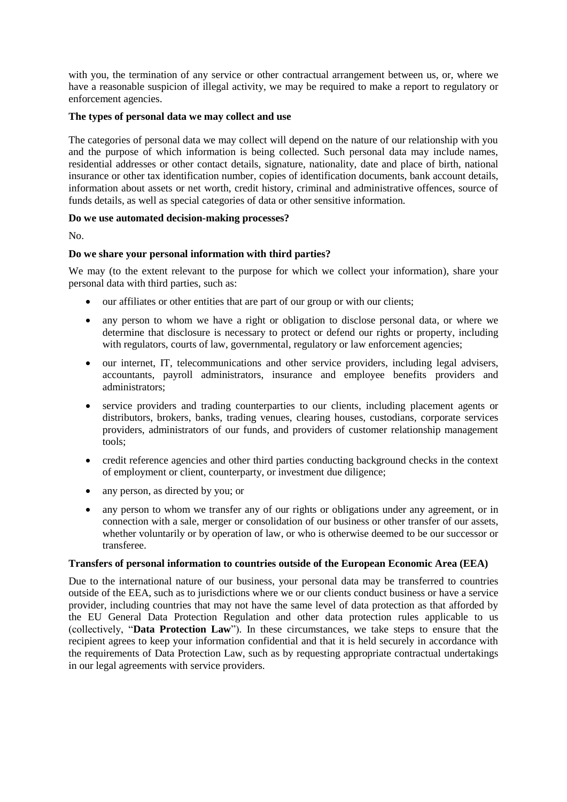with you, the termination of any service or other contractual arrangement between us, or, where we have a reasonable suspicion of illegal activity, we may be required to make a report to regulatory or enforcement agencies.

## **The types of personal data we may collect and use**

The categories of personal data we may collect will depend on the nature of our relationship with you and the purpose of which information is being collected. Such personal data may include names, residential addresses or other contact details, signature, nationality, date and place of birth, national insurance or other tax identification number, copies of identification documents, bank account details, information about assets or net worth, credit history, criminal and administrative offences, source of funds details, as well as special categories of data or other sensitive information.

# **Do we use automated decision-making processes?**

No.

# **Do we share your personal information with third parties?**

We may (to the extent relevant to the purpose for which we collect your information), share your personal data with third parties, such as:

- our affiliates or other entities that are part of our group or with our clients;
- any person to whom we have a right or obligation to disclose personal data, or where we determine that disclosure is necessary to protect or defend our rights or property, including with regulators, courts of law, governmental, regulatory or law enforcement agencies;
- our internet, IT, telecommunications and other service providers, including legal advisers, accountants, payroll administrators, insurance and employee benefits providers and administrators;
- service providers and trading counterparties to our clients, including placement agents or distributors, brokers, banks, trading venues, clearing houses, custodians, corporate services providers, administrators of our funds, and providers of customer relationship management tools;
- credit reference agencies and other third parties conducting background checks in the context of employment or client, counterparty, or investment due diligence;
- any person, as directed by you; or
- any person to whom we transfer any of our rights or obligations under any agreement, or in connection with a sale, merger or consolidation of our business or other transfer of our assets, whether voluntarily or by operation of law, or who is otherwise deemed to be our successor or transferee.

## **Transfers of personal information to countries outside of the European Economic Area (EEA)**

Due to the international nature of our business, your personal data may be transferred to countries outside of the EEA, such as to jurisdictions where we or our clients conduct business or have a service provider, including countries that may not have the same level of data protection as that afforded by the EU General Data Protection Regulation and other data protection rules applicable to us (collectively, "**Data Protection Law**"). In these circumstances, we take steps to ensure that the recipient agrees to keep your information confidential and that it is held securely in accordance with the requirements of Data Protection Law, such as by requesting appropriate contractual undertakings in our legal agreements with service providers.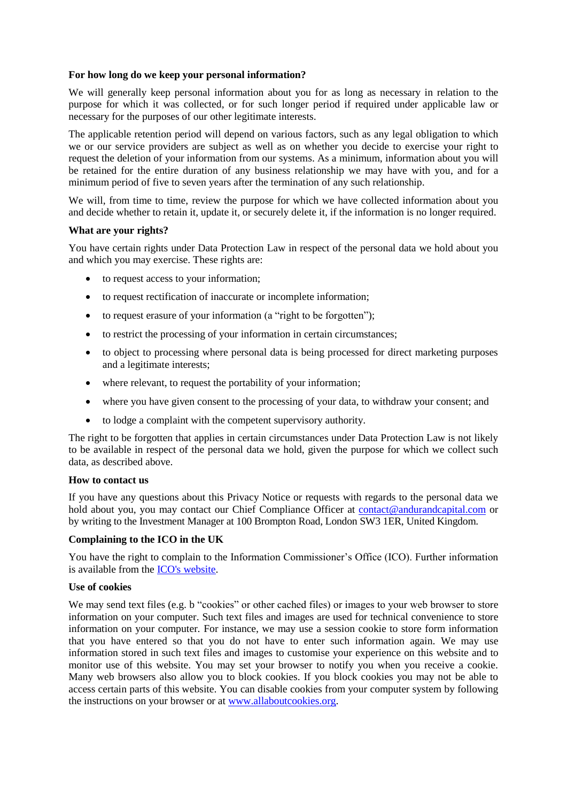#### **For how long do we keep your personal information?**

We will generally keep personal information about you for as long as necessary in relation to the purpose for which it was collected, or for such longer period if required under applicable law or necessary for the purposes of our other legitimate interests.

The applicable retention period will depend on various factors, such as any legal obligation to which we or our service providers are subject as well as on whether you decide to exercise your right to request the deletion of your information from our systems. As a minimum, information about you will be retained for the entire duration of any business relationship we may have with you, and for a minimum period of five to seven years after the termination of any such relationship.

We will, from time to time, review the purpose for which we have collected information about you and decide whether to retain it, update it, or securely delete it, if the information is no longer required.

#### **What are your rights?**

You have certain rights under Data Protection Law in respect of the personal data we hold about you and which you may exercise. These rights are:

- to request access to your information;
- to request rectification of inaccurate or incomplete information;
- to request erasure of your information (a "right to be forgotten");
- to restrict the processing of your information in certain circumstances;
- to object to processing where personal data is being processed for direct marketing purposes and a legitimate interests;
- where relevant, to request the portability of your information;
- where you have given consent to the processing of your data, to withdraw your consent; and
- to lodge a complaint with the competent supervisory authority.

The right to be forgotten that applies in certain circumstances under Data Protection Law is not likely to be available in respect of the personal data we hold, given the purpose for which we collect such data, as described above.

#### **How to contact us**

If you have any questions about this Privacy Notice or requests with regards to the personal data we hold about you, you may contact our Chief Compliance Officer at [contact@andurandcapital.com](mailto:contact@andurandcapital.com) or by writing to the Investment Manager at 100 Brompton Road, London SW3 1ER, United Kingdom.

## **Complaining to the ICO in the UK**

You have the right to complain to the Information Commissioner's Office (ICO). Further information is available from the [ICO's website.](https://ico.org.uk/)

#### **Use of cookies**

We may send text files (e.g. b "cookies" or other cached files) or images to your web browser to store information on your computer. Such text files and images are used for technical convenience to store information on your computer. For instance, we may use a session cookie to store form information that you have entered so that you do not have to enter such information again. We may use information stored in such text files and images to customise your experience on this website and to monitor use of this website. You may set your browser to notify you when you receive a cookie. Many web browsers also allow you to block cookies. If you block cookies you may not be able to access certain parts of this website. You can disable cookies from your computer system by following the instructions on your browser or at [www.allaboutcookies.org.](file:///C:/Users/maua/AppData/Local/Microsoft/Windows/INetCache/Content.Outlook/HWR1Y88Y/www.allaboutcookies.org)